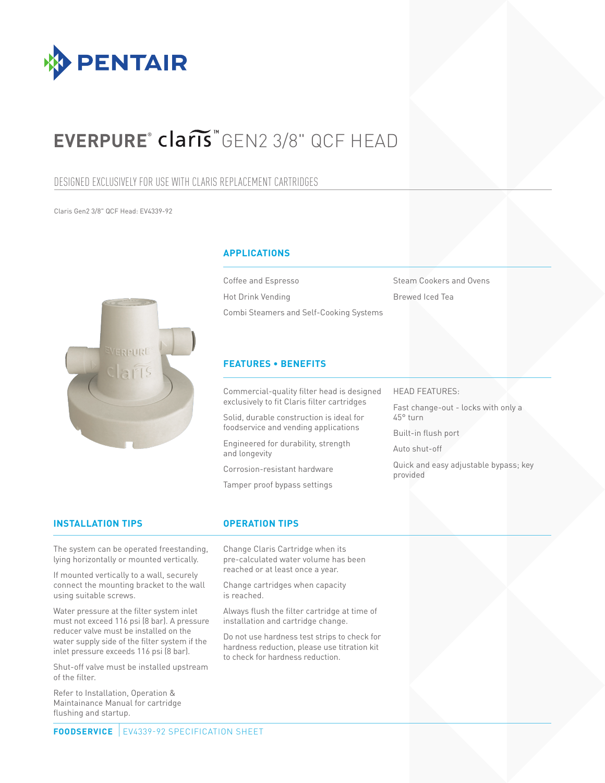

## **EVERPURE®** GEN2 3/8" QCF HEAD

## DESIGNED EXCLUSIVELY FOR USE WITH CLARIS REPLACEMENT CARTRIDGES

Claris Gen2 3/8" QCF Head: EV4339-92



## **APPLICATIONS**

Coffee and Espresso Hot Drink Vending Combi Steamers and Self-Cooking Systems Steam Cookers and Ovens Brewed Iced Tea

## **FEATURES • BENEFITS**

Commercial-quality filter head is designed exclusively to fit Claris filter cartridges

Solid, durable construction is ideal for foodservice and vending applications

Engineered for durability, strength and longevity

Corrosion-resistant hardware

Tamper proof bypass settings

## HEAD FEATURES:

Fast change-out - locks with only a 45° turn

Built-in flush port

Auto shut-off

Quick and easy adjustable bypass; key provided

## **INSTALLATION TIPS OPERATION TIPS**

The system can be operated freestanding, lying horizontally or mounted vertically.

If mounted vertically to a wall, securely connect the mounting bracket to the wall using suitable screws.

Water pressure at the filter system inlet must not exceed 116 psi (8 bar). A pressure reducer valve must be installed on the water supply side of the filter system if the inlet pressure exceeds 116 psi (8 bar).

Shut-off valve must be installed upstream of the filter.

Refer to Installation, Operation & Maintainance Manual for cartridge flushing and startup.

Change Claris Cartridge when its pre-calculated water volume has been reached or at least once a year.

Change cartridges when capacity is reached.

Always flush the filter cartridge at time of installation and cartridge change.

Do not use hardness test strips to check for hardness reduction, please use titration kit to check for hardness reduction.